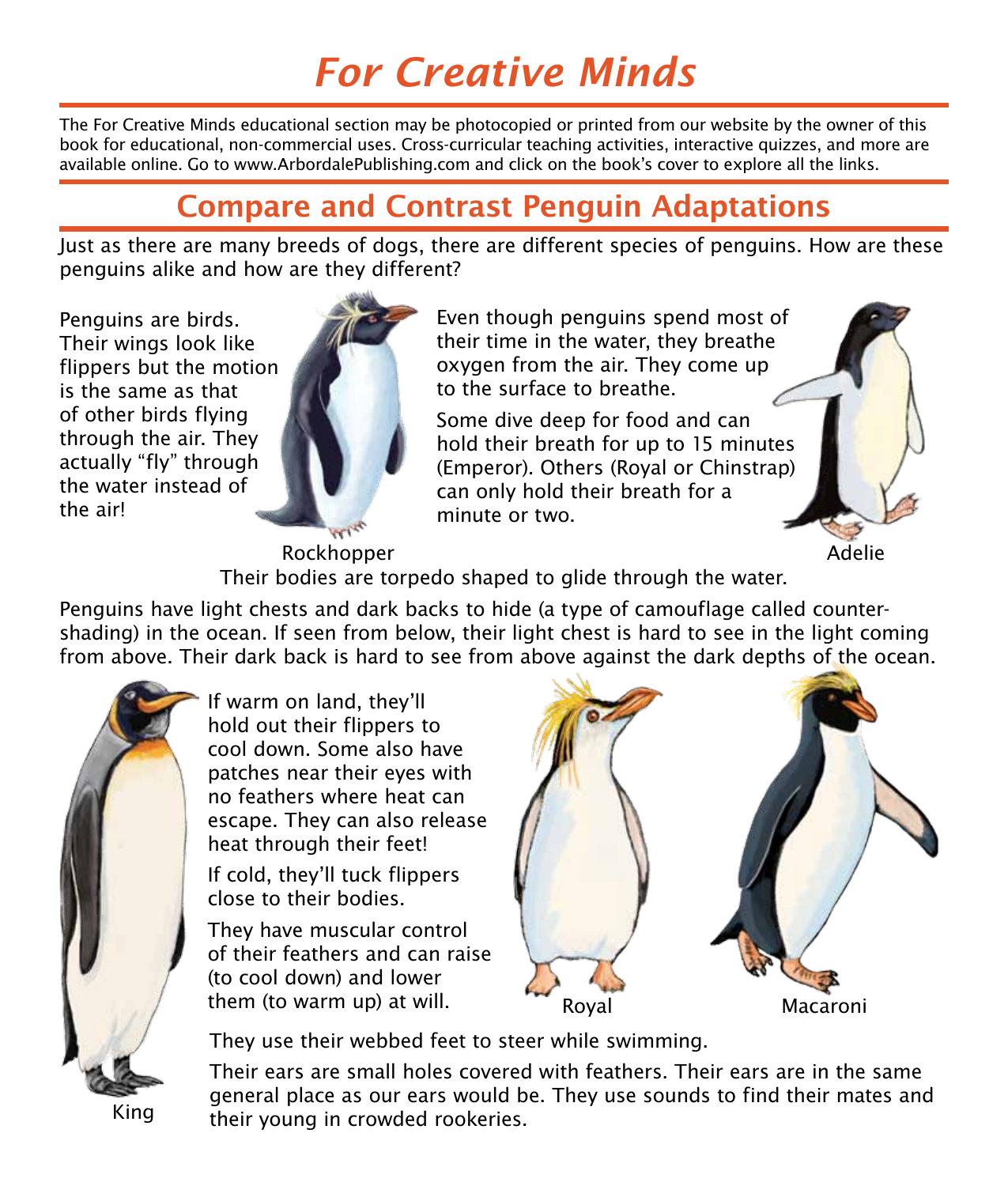## *For Creative Minds*

The For Creative Minds educational section may be photocopied or printed from our website by the owner of this book for educational, non-commercial uses. Cross-curricular teaching activities, interactive quizzes, and more are available online. Go to www.ArbordalePublishing.com and click on the book's cover to explore all the links.

## Compare and Contrast Penguin Adaptations

Just as there are many breeds of dogs, there are different species of penguins. How are these penguins alike and how are they different?

Penguins are birds. Their wings look like flippers but the motion is the same as that of other birds flying through the air. They actually "fly" through the water instead of the air!



Even though penguins spend most of their time in the water, they breathe oxygen from the air. They come up to the surface to breathe.

Some dive deep for food and can hold their breath for up to 15 minutes (Emperor). Others (Royal or Chinstrap) can only hold their breath for a minute or two.

Rockhopper Their bodies are torpedo shaped to glide through the water.

Penguins have light chests and dark backs to hide (a type of camouflage called countershading) in the ocean. If seen from below, their light chest is hard to see in the light coming from above. Their dark back is hard to see from above against the dark depths of the ocean.



If warm on land, they'll hold out their flippers to cool down. Some also have patches near their eyes with no feathers where heat can escape. They can also release heat through their feet!

If cold, they'll tuck flippers close to their bodies.

They have muscular control of their feathers and can raise (to cool down) and lower them (to warm up) at will.



Adelie

They use their webbed feet to steer while swimming.

Their ears are small holes covered with feathers. Their ears are in the same general place as our ears would be. They use sounds to find their mates and their young in crowded rookeries.

King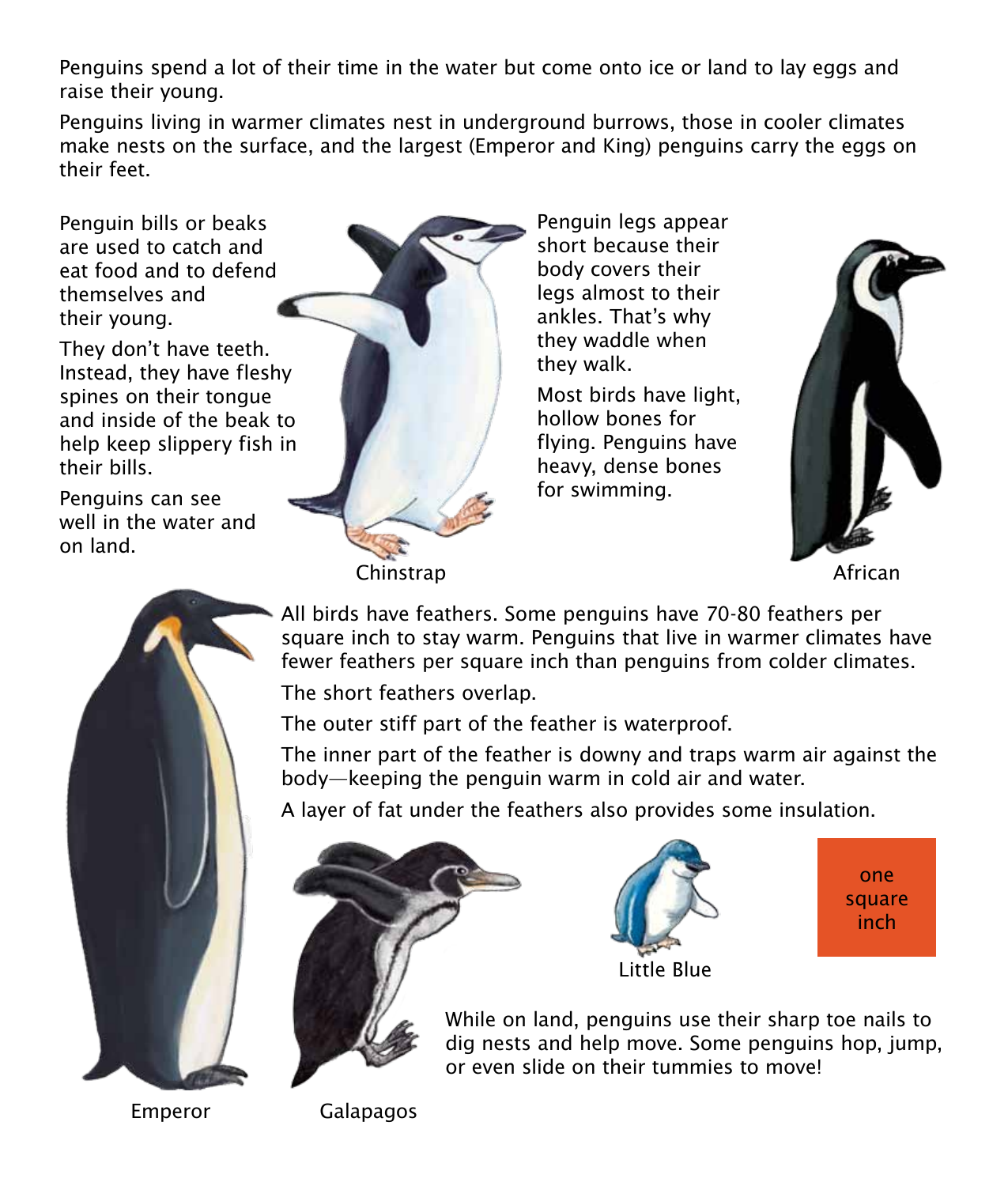Penguins spend a lot of their time in the water but come onto ice or land to lay eggs and raise their young.

Penguins living in warmer climates nest in underground burrows, those in cooler climates make nests on the surface, and the largest (Emperor and King) penguins carry the eggs on their feet.

Penguin bills or beaks are used to catch and eat food and to defend themselves and their young.

They don't have teeth. Instead, they have fleshy spines on their tongue and inside of the beak to help keep slippery fish in their bills.

Penguins can see well in the water and on land.



Penguin legs appear short because their body covers their legs almost to their ankles. That's why they waddle when they walk.

Most birds have light, hollow bones for flying. Penguins have heavy, dense bones for swimming.



All birds have feathers. Some penguins have 70-80 feathers per square inch to stay warm. Penguins that live in warmer climates have fewer feathers per square inch than penguins from colder climates.

The short feathers overlap.

The outer stiff part of the feather is waterproof.

The inner part of the feather is downy and traps warm air against the body—keeping the penguin warm in cold air and water.

A layer of fat under the feathers also provides some insulation.





one square inch

While on land, penguins use their sharp toe nails to dig nests and help move. Some penguins hop, jump, or even slide on their tummies to move!

Emperor

Galapagos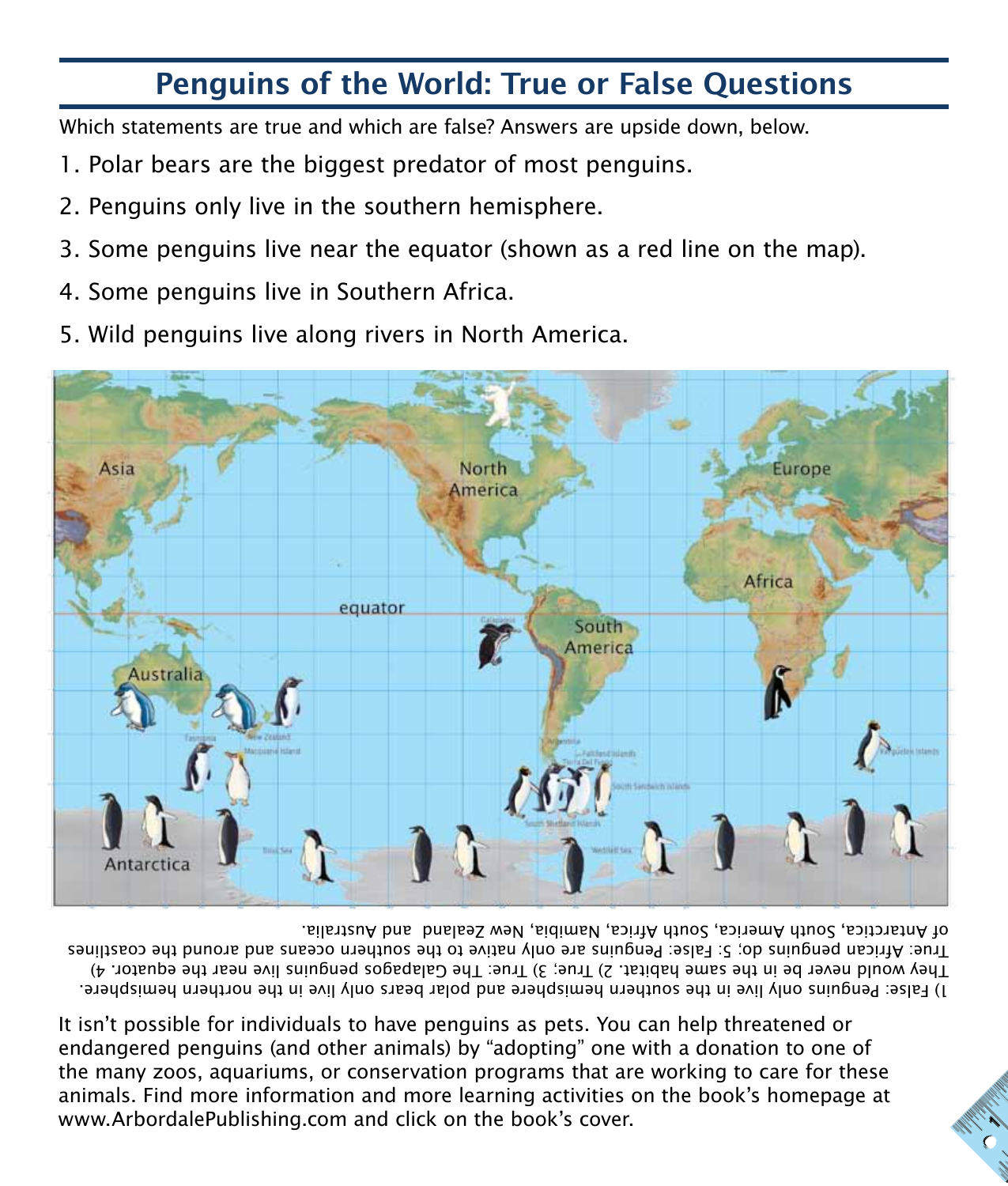## Penguins of the World: True or False Questions

Which statements are true and which are false? Answers are upside down, below.

- 1. Polar bears are the biggest predator of most penguins.
- 2. Penguins only live in the southern hemisphere.
- 3. Some penguins live near the equator (shown as a red line on the map).
- 4. Some penguins live in Southern Africa.
- 5. Wild penguins live along rivers in North America.



1) False: Penguins only live in the southern hemisphere and polar bears only live in the northern hemisphere. They would never be in the same habitat. 2) True; 3) True: The Galapagos penguins live near the equator. 4) True: African penguins do; 5: False: Penguins are only native to the southern oceans and around the coastlines of Antarctica, South America, South Africa, Namibia, New Zealand and Australia.

It isn't possible for individuals to have penguins as pets. You can help threatened or endangered penguins (and other animals) by "adopting" one with a donation to one of the many zoos, aquariums, or conservation programs that are working to care for these animals. Find more information and more learning activities on the book's homepage at www.ArbordalePublishing.com and click on the book's cover.